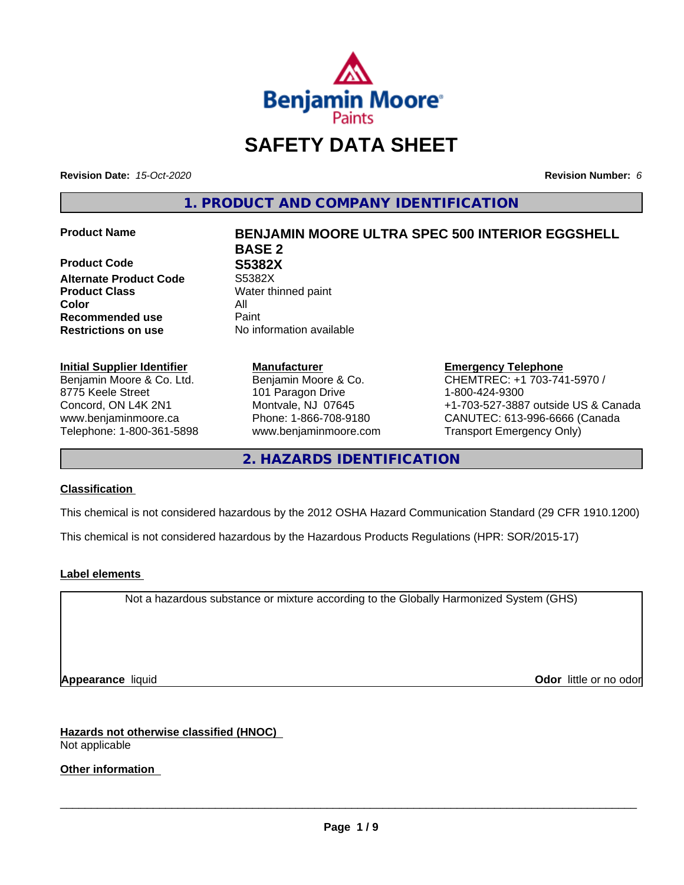

# **SAFETY DATA SHEET**

**Revision Date:** *15-Oct-2020* **Revision Number:** *6*

**1. PRODUCT AND COMPANY IDENTIFICATION**

**Product Code 68882X<br>
Alternate Product Code 55382X Alternate Product Code Product Class** Water thinned paint **Color** All **Recommended use** Paint **Restrictions on use** No information available

# **Initial Supplier Identifier**

Benjamin Moore & Co. Ltd. 8775 Keele Street Concord, ON L4K 2N1 www.benjaminmoore.ca Telephone: 1-800-361-5898

# **Product Name BENJAMIN MOORE ULTRA SPEC 500 INTERIOR EGGSHELL BASE 2**

**Manufacturer** Benjamin Moore & Co. 101 Paragon Drive Montvale, NJ 07645 Phone: 1-866-708-9180 www.benjaminmoore.com

# **Emergency Telephone**

CHEMTREC: +1 703-741-5970 / 1-800-424-9300 +1-703-527-3887 outside US & Canada CANUTEC: 613-996-6666 (Canada Transport Emergency Only)

**2. HAZARDS IDENTIFICATION**

# **Classification**

This chemical is not considered hazardous by the 2012 OSHA Hazard Communication Standard (29 CFR 1910.1200)

This chemical is not considered hazardous by the Hazardous Products Regulations (HPR: SOR/2015-17)

# **Label elements**

Not a hazardous substance or mixture according to the Globally Harmonized System (GHS)

**Appearance** liquid **CODO** *Appearance liquid* **Odor**  *CODO CODO* **<b>***CODO CODO CODO CODO CODO CODO CODO CODO CODO CODO CODO CODO CODO CODO CODO CODO CODO* 

**Hazards not otherwise classified (HNOC)** Not applicable

**Other information**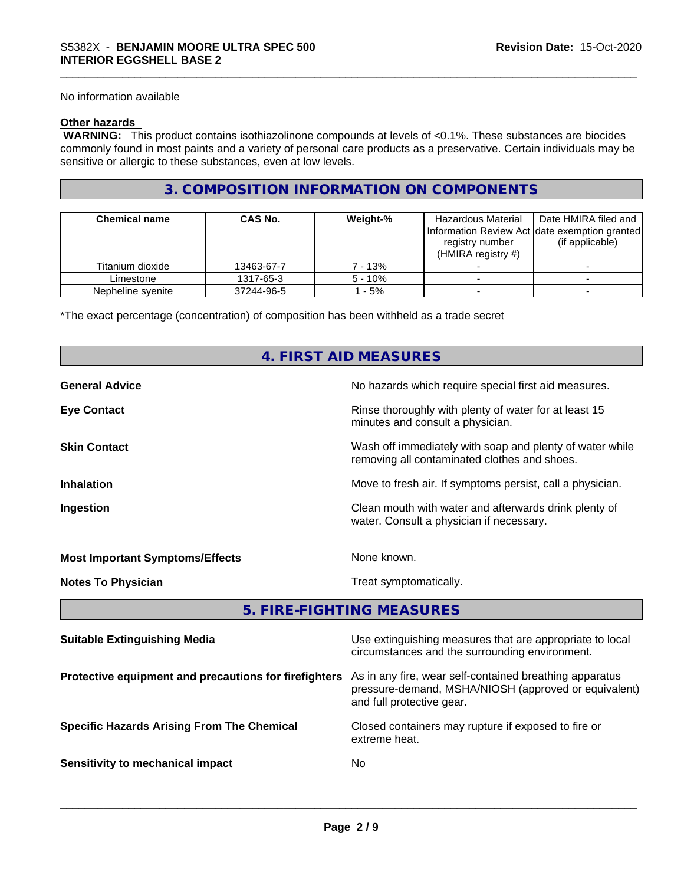No information available

# **Other hazards**

 **WARNING:** This product contains isothiazolinone compounds at levels of <0.1%. These substances are biocides commonly found in most paints and a variety of personal care products as a preservative. Certain individuals may be sensitive or allergic to these substances, even at low levels.

# **3. COMPOSITION INFORMATION ON COMPONENTS**

| <b>Chemical name</b> | <b>CAS No.</b> | Weight-%  | Hazardous Material<br>registry number<br>(HMIRA registry $#$ ) | Date HMIRA filed and<br>Information Review Act date exemption granted<br>(if applicable) |
|----------------------|----------------|-----------|----------------------------------------------------------------|------------------------------------------------------------------------------------------|
| Titanium dioxide     | 13463-67-7     | 7 - 13%   |                                                                |                                                                                          |
| Limestone            | 1317-65-3      | $5 - 10%$ |                                                                |                                                                                          |
| Nepheline syenite    | 37244-96-5     | - 5%      |                                                                |                                                                                          |

\*The exact percentage (concentration) of composition has been withheld as a trade secret

# **4. FIRST AID MEASURES**

| <b>General Advice</b>                  | No hazards which require special first aid measures.                                                     |
|----------------------------------------|----------------------------------------------------------------------------------------------------------|
| <b>Eye Contact</b>                     | Rinse thoroughly with plenty of water for at least 15<br>minutes and consult a physician.                |
| <b>Skin Contact</b>                    | Wash off immediately with soap and plenty of water while<br>removing all contaminated clothes and shoes. |
| <b>Inhalation</b>                      | Move to fresh air. If symptoms persist, call a physician.                                                |
| Ingestion                              | Clean mouth with water and afterwards drink plenty of<br>water. Consult a physician if necessary.        |
| <b>Most Important Symptoms/Effects</b> | None known.                                                                                              |
| <b>Notes To Physician</b>              | Treat symptomatically.                                                                                   |

**5. FIRE-FIGHTING MEASURES**

| <b>Suitable Extinguishing Media</b>                   | Use extinguishing measures that are appropriate to local<br>circumstances and the surrounding environment.                                   |
|-------------------------------------------------------|----------------------------------------------------------------------------------------------------------------------------------------------|
| Protective equipment and precautions for firefighters | As in any fire, wear self-contained breathing apparatus<br>pressure-demand, MSHA/NIOSH (approved or equivalent)<br>and full protective gear. |
| <b>Specific Hazards Arising From The Chemical</b>     | Closed containers may rupture if exposed to fire or<br>extreme heat.                                                                         |
| Sensitivity to mechanical impact                      | No                                                                                                                                           |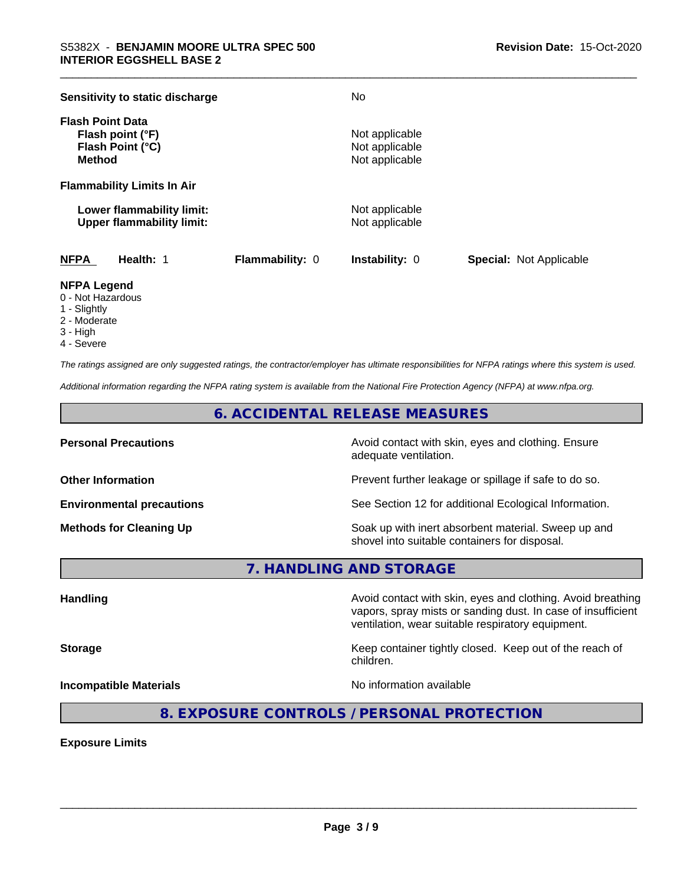| Sensitivity to static discharge                                                  |                        | No                                                 |                                |
|----------------------------------------------------------------------------------|------------------------|----------------------------------------------------|--------------------------------|
| <b>Flash Point Data</b><br>Flash point (°F)<br>Flash Point (°C)<br><b>Method</b> |                        | Not applicable<br>Not applicable<br>Not applicable |                                |
| <b>Flammability Limits In Air</b>                                                |                        |                                                    |                                |
| Lower flammability limit:<br><b>Upper flammability limit:</b>                    |                        | Not applicable<br>Not applicable                   |                                |
| <b>NFPA</b><br>Health: 1                                                         | <b>Flammability: 0</b> | <b>Instability: 0</b>                              | <b>Special: Not Applicable</b> |

### **NFPA Legend**

- 0 Not Hazardous
- 1 Slightly
- 2 Moderate
- 3 High
- 4 Severe

*The ratings assigned are only suggested ratings, the contractor/employer has ultimate responsibilities for NFPA ratings where this system is used.*

*Additional information regarding the NFPA rating system is available from the National Fire Protection Agency (NFPA) at www.nfpa.org.*

# **6. ACCIDENTAL RELEASE MEASURES**

**Personal Precautions Precautions** Avoid contact with skin, eyes and clothing. Ensure adequate ventilation.

**Other Information Other Information Prevent further leakage or spillage if safe to do so.** 

**Environmental precautions** See Section 12 for additional Ecological Information.

**Methods for Cleaning Up Example 20 Soak** up with inert absorbent material. Sweep up and shovel into suitable containers for disposal.

**7. HANDLING AND STORAGE**

**Handling Avoid contact with skin, eyes and clothing. Avoid breathing Handling Avoid breathing** 

vapors, spray mists or sanding dust. In case of insufficient ventilation, wear suitable respiratory equipment.

**Storage Keep container tightly closed.** Keep out of the reach of children.

**Incompatible Materials Incompatible Materials No information available** 

 $\overline{\phantom{a}}$  ,  $\overline{\phantom{a}}$  ,  $\overline{\phantom{a}}$  ,  $\overline{\phantom{a}}$  ,  $\overline{\phantom{a}}$  ,  $\overline{\phantom{a}}$  ,  $\overline{\phantom{a}}$  ,  $\overline{\phantom{a}}$  ,  $\overline{\phantom{a}}$  ,  $\overline{\phantom{a}}$  ,  $\overline{\phantom{a}}$  ,  $\overline{\phantom{a}}$  ,  $\overline{\phantom{a}}$  ,  $\overline{\phantom{a}}$  ,  $\overline{\phantom{a}}$  ,  $\overline{\phantom{a}}$ 

# **8. EXPOSURE CONTROLS / PERSONAL PROTECTION**

**Exposure Limits**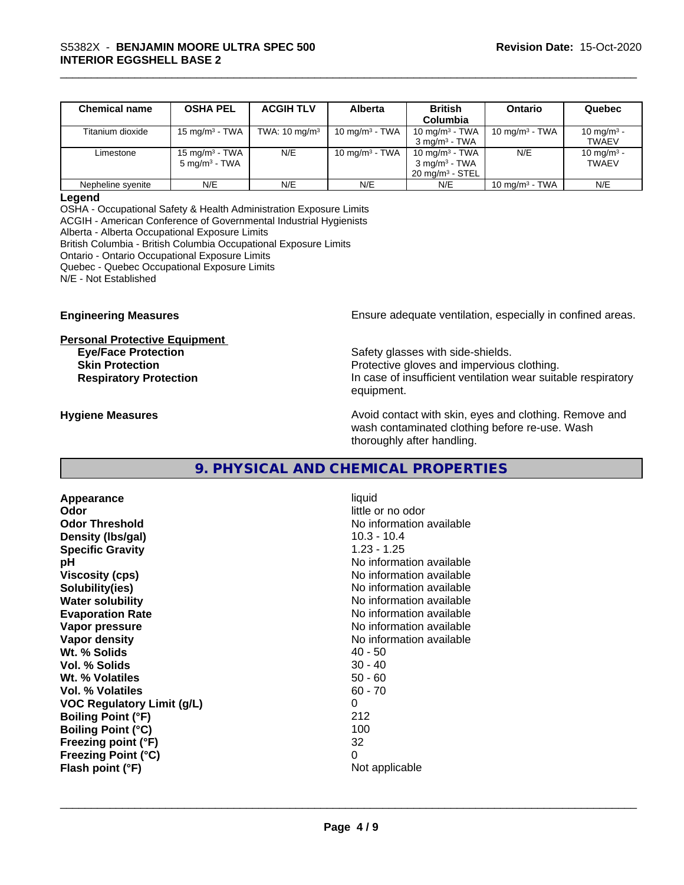| <b>Chemical name</b> | <b>OSHA PEL</b>            | <b>ACGIH TLV</b>         | Alberta           | <b>British</b>             | Ontario           | Quebec                 |
|----------------------|----------------------------|--------------------------|-------------------|----------------------------|-------------------|------------------------|
|                      |                            |                          |                   | Columbia                   |                   |                        |
| Titanium dioxide     | 15 mg/m $3$ - TWA          | TWA: $10 \text{ mg/m}^3$ | 10 mg/m $3$ - TWA | 10 mg/m $3$ - TWA          | 10 mg/m $3$ - TWA | 10 mg/m <sup>3</sup> - |
|                      |                            |                          |                   | $3 \text{ ma/m}^3$ - TWA   |                   | <b>TWAEV</b>           |
| Limestone            | 15 mg/m <sup>3</sup> - TWA | N/E                      | 10 mg/m $3$ - TWA | 10 mg/m <sup>3</sup> - TWA | N/E               | 10 mg/m <sup>3</sup> - |
|                      | $5 \text{ mg/m}^3$ - TWA   |                          |                   | $3 \text{ ma/m}^3$ - TWA   |                   | <b>TWAEV</b>           |
|                      |                            |                          |                   | $20 \text{ ma/m}^3$ - STEL |                   |                        |
| Nepheline svenite    | N/E                        | N/E                      | N/E               | N/E                        | 10 mg/m $3$ - TWA | N/E                    |

#### **Legend**

OSHA - Occupational Safety & Health Administration Exposure Limits ACGIH - American Conference of Governmental Industrial Hygienists Alberta - Alberta Occupational Exposure Limits British Columbia - British Columbia Occupational Exposure Limits Ontario - Ontario Occupational Exposure Limits Quebec - Quebec Occupational Exposure Limits N/E - Not Established

**Personal Protective Equipment**

**Engineering Measures Ensure** Ensure adequate ventilation, especially in confined areas.

**Eye/Face Protection Safety glasses with side-shields. Skin Protection Protection Protective gloves and impervious clothing. Respiratory Protection In case of insufficient ventilation wear suitable respiratory** equipment.

**Hygiene Measures Avoid contact with skin, eyes and clothing. Remove and Avoid contact with skin, eyes and clothing. Remove and** wash contaminated clothing before re-use. Wash thoroughly after handling.

# **9. PHYSICAL AND CHEMICAL PROPERTIES**

**Appearance** liquid **Odor** little or no odor **Odor Threshold No information available No information available Density (Ibs/gal)** 10.3 - 10.4 **Specific Gravity** 1.23 - 1.25 **pH pH**  $\blacksquare$ **Viscosity (cps)** No information available **Solubility(ies)** No information available in the solution of the solution of the solution available in the solution of the solution of the solution of the solution of the solution of the solution of the solution of the so **Water solubility Water solubility Water solubility Water solubility Water solubility Water solution Evaporation Rate No information available No information available Vapor pressure** No information available **Vapor density Vapor** density **Wt. % Solids** 40 - 50 **Vol. % Solids** 30 - 40<br> **Wt. % Volatiles** 50 - 60 **Wt. % Volatiles Vol. % Volatiles** 60 - 70 **VOC Regulatory Limit (g/L)** 0 **Boiling Point (°F)** 212 **Boiling Point (°C)** 100 **Freezing point (°F)** 32 **Freezing Point (°C)** 0 **Flash point (°F)**  $\overline{\phantom{a}}$  Not applicable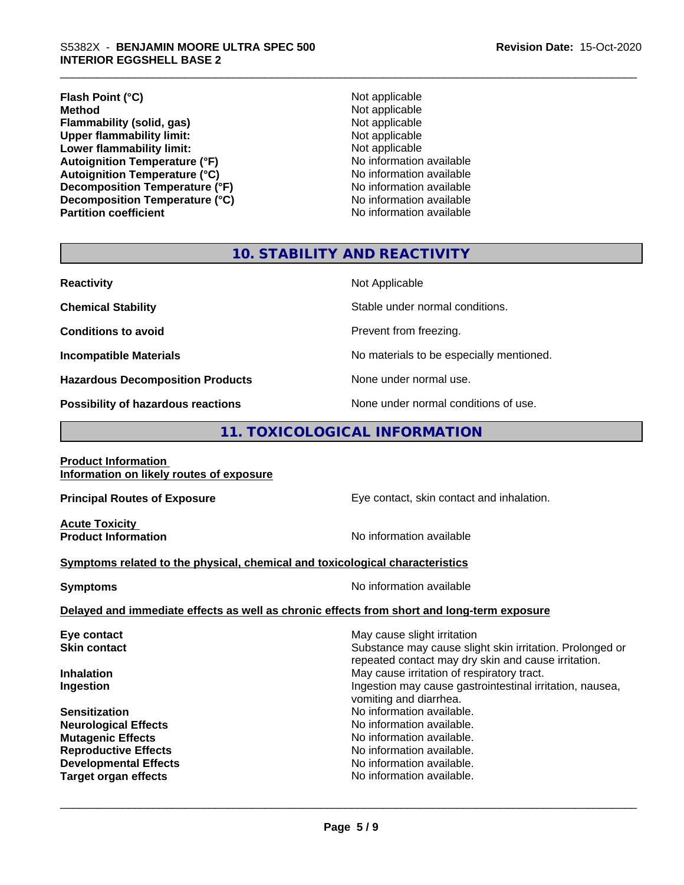# \_\_\_\_\_\_\_\_\_\_\_\_\_\_\_\_\_\_\_\_\_\_\_\_\_\_\_\_\_\_\_\_\_\_\_\_\_\_\_\_\_\_\_\_\_\_\_\_\_\_\_\_\_\_\_\_\_\_\_\_\_\_\_\_\_\_\_\_\_\_\_\_\_\_\_\_\_\_\_\_\_\_\_\_\_\_\_\_\_\_\_\_\_ S5382X - **BENJAMIN MOORE ULTRA SPEC <sup>500</sup> INTERIOR EGGSHELL BASE 2**

# **Flash Point (°C)**<br> **Method** Not applicable<br> **Method** Not applicable **Flammability (solid, gas)**<br> **Contains Upper flammability limit:**<br>
Upper flammability limit:<br>
Not applicable **Upper flammability limit:**<br> **Lower flammability limit:**<br>
Not applicable<br>
Not applicable **Lower flammability limit:**<br> **Autoignition Temperature (°F)**<br>
Mo information available **Autoignition Temperature (°F)**<br> **Autoignition Temperature (°C)** 
<br> **Autoignition Temperature (°C)** 
<br> **Autoignition Temperature (°C) Autoignition Temperature (°C)**<br> **Decomposition Temperature (°F)** No information available **Decomposition Temperature (°F)** No information available<br> **Decomposition Temperature (°C)** No information available **Decomposition Temperature (°C)**

**Not applicable**<br>**Not applicable Partition coefficient Contract Contract Contract Contract Contract Contract Contract Contract Contract Contract Contract Contract Contract Contract Contract Contract Contract Contract Contract Contract Contract Contract** 

# **10. STABILITY AND REACTIVITY**

| <b>Reactivity</b>                                 | Not Applicable                                                  |
|---------------------------------------------------|-----------------------------------------------------------------|
| <b>Chemical Stability</b>                         | Stable under normal conditions.                                 |
| <b>Conditions to avoid</b>                        | Prevent from freezing.                                          |
| <b>Incompatible Materials</b>                     | No materials to be especially mentioned.                        |
| <b>Hazardous Decomposition Products</b>           | None under normal use.                                          |
| The constitution of the computation and continued | المتحدد المتاري والمتلقات والمتحدد والمتحدد والمستحدث والمستحدث |

**Possibility of hazardous reactions** None under normal conditions of use.

# **11. TOXICOLOGICAL INFORMATION**

| <b>Product Information</b><br>Information on likely routes of exposure                     |                                                                                                                                                |
|--------------------------------------------------------------------------------------------|------------------------------------------------------------------------------------------------------------------------------------------------|
| <b>Principal Routes of Exposure</b>                                                        | Eye contact, skin contact and inhalation.                                                                                                      |
| <b>Acute Toxicity</b><br><b>Product Information</b>                                        | No information available                                                                                                                       |
| Symptoms related to the physical, chemical and toxicological characteristics               |                                                                                                                                                |
| <b>Symptoms</b>                                                                            | No information available                                                                                                                       |
| Delayed and immediate effects as well as chronic effects from short and long-term exposure |                                                                                                                                                |
| Eye contact<br><b>Skin contact</b>                                                         | May cause slight irritation<br>Substance may cause slight skin irritation. Prolonged or<br>repeated contact may dry skin and cause irritation. |
| <b>Inhalation</b><br>Ingestion                                                             | May cause irritation of respiratory tract.<br>Ingestion may cause gastrointestinal irritation, nausea,<br>vomiting and diarrhea.               |
| <b>Sensitization</b><br><b>Neurological Effects</b><br><b>Mutagenic Effects</b>            | No information available.<br>No information available.<br>No information available.                                                            |
| <b>Reproductive Effects</b><br><b>Developmental Effects</b>                                | No information available.<br>No information available.                                                                                         |

**Target organ effects No information available.**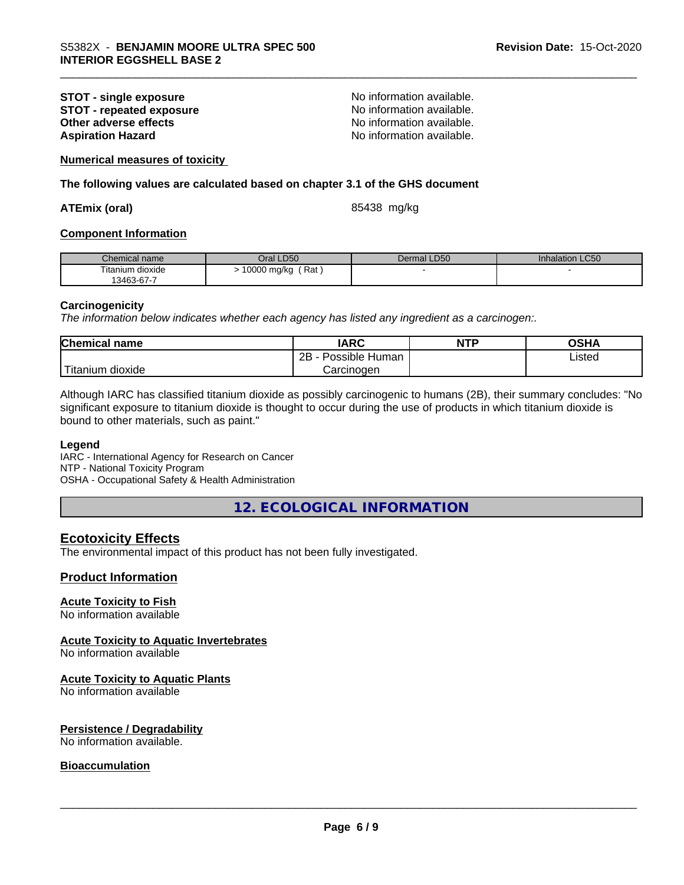# **STOT - single exposure**<br> **STOT - repeated exposure**<br> **STOT - repeated exposure**<br> **No information available. STOT** - repeated exposure<br>Other adverse effects **Aspiration Hazard Aspiration Hazard No information available.**

No information available.

**Numerical measures of toxicity**

**The following values are calculated based on chapter 3.1 of the GHS document**

#### **ATEmix (oral)** 85438 mg/kg

#### **Component Information**

| Chemical name                  | <b>LD50</b><br>Dral | Dermal LD50 | Inhalation LC50 |
|--------------------------------|---------------------|-------------|-----------------|
| Titanium dioxide<br>13463-67-7 | Rat<br>10000 mg/kg  |             |                 |

#### **Carcinogenicity**

*The information below indicateswhether each agency has listed any ingredient as a carcinogen:.*

| <b>Chemical</b><br>name          | <b>IARC</b>                    | <b>NTP</b> | $\sim$ u $\prime$<br>JJNP |  |
|----------------------------------|--------------------------------|------------|---------------------------|--|
|                                  | .<br>2B<br>: Human<br>Possible |            | ∟isted                    |  |
| .<br>. dioxide<br><b>itanium</b> | Carcinogen                     |            |                           |  |

Although IARC has classified titanium dioxide as possibly carcinogenic to humans (2B), their summary concludes: "No significant exposure to titanium dioxide is thought to occur during the use of products in which titanium dioxide is bound to other materials, such as paint."

#### **Legend**

IARC - International Agency for Research on Cancer NTP - National Toxicity Program OSHA - Occupational Safety & Health Administration

**12. ECOLOGICAL INFORMATION**

# **Ecotoxicity Effects**

The environmental impact of this product has not been fully investigated.

#### **Product Information**

#### **Acute Toxicity to Fish**

No information available

#### **Acute Toxicity to Aquatic Invertebrates**

No information available

# **Acute Toxicity to Aquatic Plants**

No information available

#### **Persistence / Degradability**

No information available.

#### **Bioaccumulation**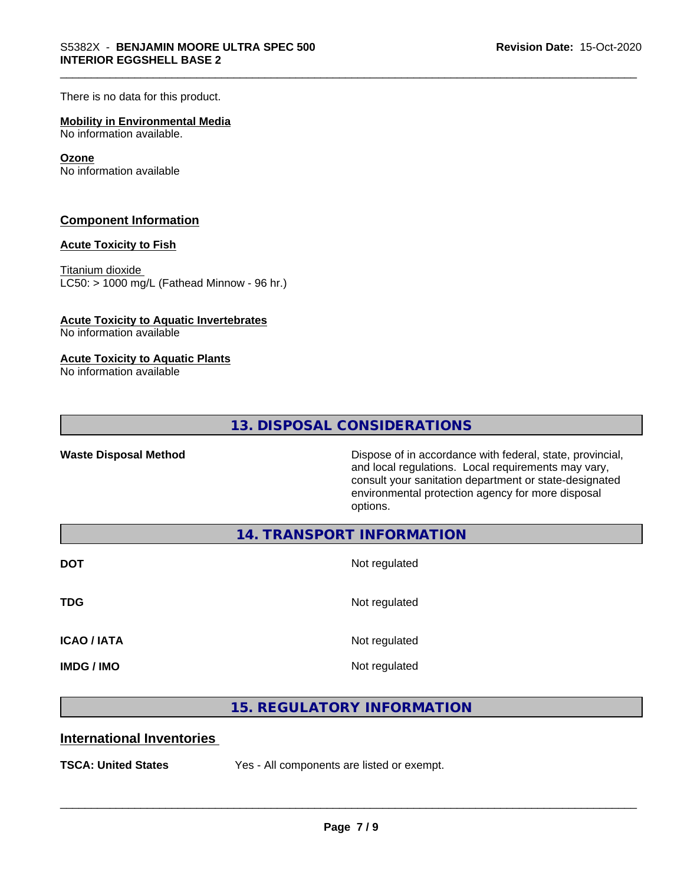There is no data for this product.

#### **Mobility in Environmental Media**

No information available.

#### **Ozone**

No information available

### **Component Information**

#### **Acute Toxicity to Fish**

Titanium dioxide  $LCS0: > 1000$  mg/L (Fathead Minnow - 96 hr.)

#### **Acute Toxicity to Aquatic Invertebrates**

No information available

#### **Acute Toxicity to Aquatic Plants**

No information available

**13. DISPOSAL CONSIDERATIONS**

Waste Disposal Method **Dispose of in accordance with federal, state, provincial,** and local regulations. Local requirements may vary, consult your sanitation department or state-designated environmental protection agency for more disposal options.

**14. TRANSPORT INFORMATION**

| <b>DOT</b>         | Not regulated |
|--------------------|---------------|
| <b>TDG</b>         | Not regulated |
| <b>ICAO / IATA</b> | Not regulated |
| <b>IMDG / IMO</b>  | Not regulated |

# **15. REGULATORY INFORMATION**

# **International Inventories**

**TSCA: United States** Yes - All components are listed or exempt.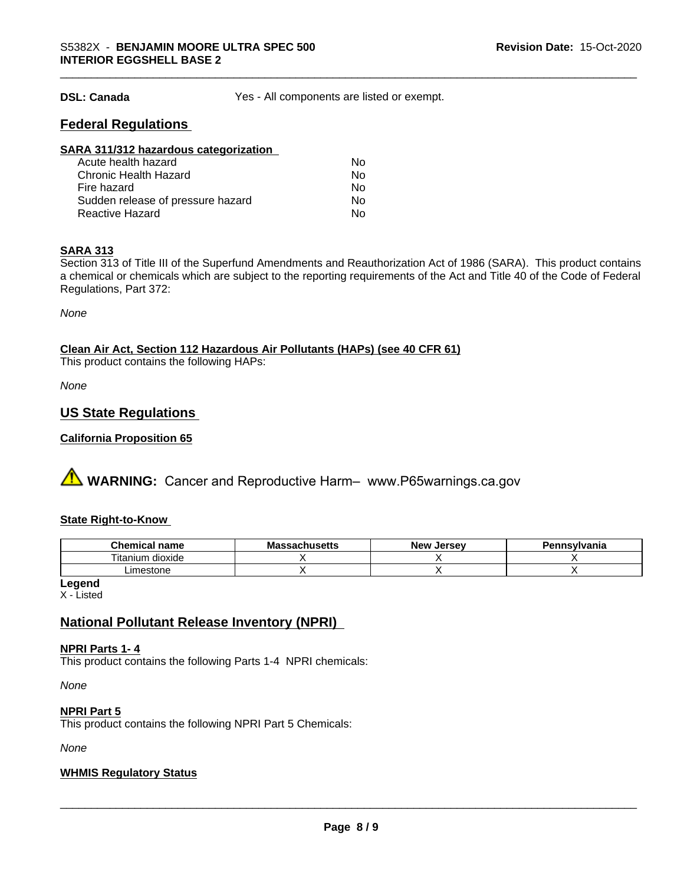**DSL: Canada** Yes - All components are listed or exempt.

# **Federal Regulations**

| SARA 311/312 hazardous categorization |    |  |
|---------------------------------------|----|--|
| Acute health hazard                   | Nο |  |
| <b>Chronic Health Hazard</b>          | No |  |
| Fire hazard                           | No |  |
| Sudden release of pressure hazard     | Nο |  |
| <b>Reactive Hazard</b>                | No |  |

# **SARA 313**

Section 313 of Title III of the Superfund Amendments and Reauthorization Act of 1986 (SARA). This product contains a chemical or chemicals which are subject to the reporting requirements of the Act and Title 40 of the Code of Federal Regulations, Part 372:

*None*

# **Clean Air Act,Section 112 Hazardous Air Pollutants (HAPs) (see 40 CFR 61)**

This product contains the following HAPs:

*None*

# **US State Regulations**

### **California Proposition 65**

**A WARNING:** Cancer and Reproductive Harm– www.P65warnings.ca.gov

#### **State Right-to-Know**

| Chemical<br>name     | - -<br>мю<br>aunuacua | <b>Jersev</b><br><b>Nev</b> | <b>\nsvlvania</b> |
|----------------------|-----------------------|-----------------------------|-------------------|
| dioxide<br>l itanıum |                       |                             |                   |
| Limestone            |                       |                             |                   |

**Legend**

X - Listed

# **National Pollutant Release Inventory (NPRI)**

#### **NPRI Parts 1- 4**

This product contains the following Parts 1-4 NPRI chemicals:

*None*

#### **NPRI Part 5**

This product contains the following NPRI Part 5 Chemicals:

*None*

#### **WHMIS Regulatory Status**